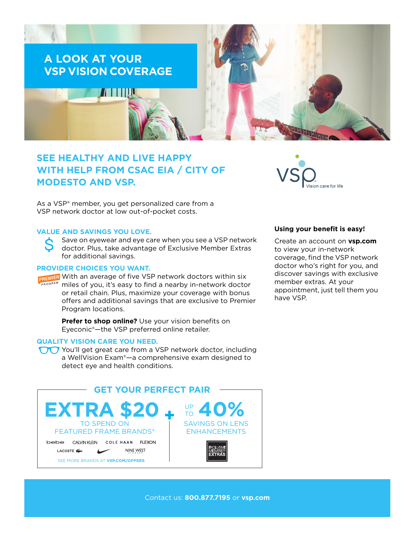

# **SEE HEALTHY AND LIVE HAPPY WITH HELP FROM CSAC EIA / CITY OF MODESTO AND VSP.**

As a VSP® member, you get personalized care from a VSP network doctor at low out-of-pocket costs.

## **VALUE AND SAVINGS YOU LOVE.**

Save on eyewear and eye care when you see a VSP network doctor. Plus, take advantage of Exclusive Member Extras for additional savings.

## **PROVIDER CHOICES YOU WANT.**

PREMIER With an average of five VSP network doctors within six miles of you, it's easy to find a nearby in-network doctor or retail chain. Plus, maximize your coverage with bonus offers and additional savings that are exclusive to Premier Program locations.

> **Prefer to shop online?** Use your vision benefits on Eyeconic®—the VSP preferred online retailer.

#### **QUALITY VISION CARE YOU NEED.**

You'll get great care from a VSP network doctor, including a WellVision Exam®—a comprehensive exam designed to detect eye and health conditions.





#### **Using your benefit is easy!**

Create an account on **[vsp.com](http://www.vsp.com)** to view your in-network coverage, find the VSP network doctor who's right for you, and discover savings with exclusive member extras. At your appointment, just tell them you have VSP.